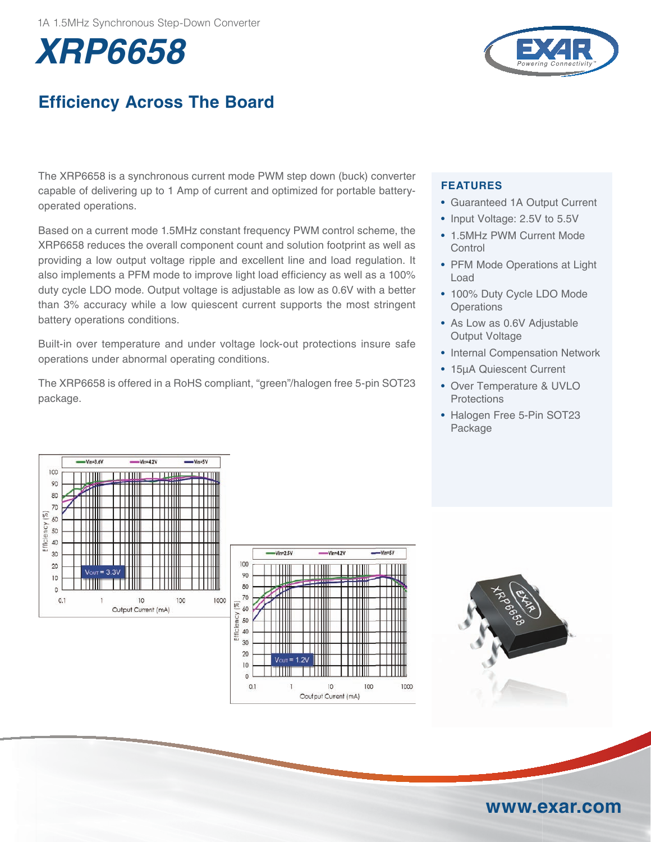# **XRP6658**



## **Efficiency Across The Board**

The XRP6658 is a synchronous current mode PWM step down (buck) converter capable of delivering up to 1 Amp of current and optimized for portable batteryoperated operations.

Based on a current mode 1.5MHz constant frequency PWM control scheme, the XRP6658 reduces the overall component count and solution footprint as well as providing a low output voltage ripple and excellent line and load regulation. It also implements a PFM mode to improve light load efficiency as well as a 100% duty cycle LDO mode. Output voltage is adjustable as low as 0.6V with a better than 3% accuracy while a low quiescent current supports the most stringent battery operations conditions.

Built-in over temperature and under voltage lock-out protections insure safe operations under abnormal operating conditions.

The XRP6658 is offered in a RoHS compliant, "green"/halogen free 5-pin SOT23 package.

### **FEATurEs**

- Guaranteed 1A Output Current
- Input Voltage: 2.5V to 5.5V
- 1.5MHz PWM Current Mode **Control**
- PFM Mode Operations at Light Load
- 100% Duty Cycle LDO Mode **Operations**
- As Low as 0.6V Adjustable Output Voltage
- Internal Compensation Network
- 15µA Quiescent Current
- Over Temperature & UVLO **Protections**
- Halogen Free 5-Pin SOT23 Package







### **www.exar.com**